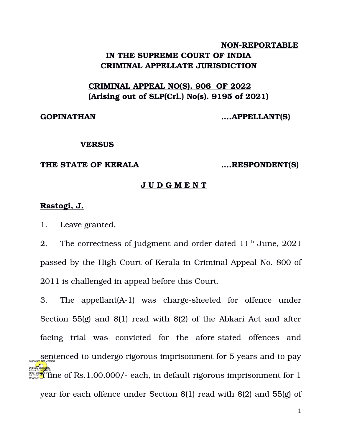# **NON-REPORTABLE** IN THE SUPREME COURT OF INDIA **CRIMINAL APPELLATE JURISDICTION**

# **CRIMINAL APPEAL NO(S). 906 OF 2022 (Arising out of SLP(Crl.) No(s). 9195 of 2021)**

**GOPINATHAN ….APPELLANT(S)**

### **VERSUS**

## **THE STATE OF KERALA ….RESPONDENT(S)**

# **J U D G M E N T**

# **Rastogi, J.**

1. Leave granted.

2. The correctness of judgment and order dated  $11<sup>th</sup>$  June, 2021 passed by the High Court of Kerala in Criminal Appeal No. 800 of 2011 is challenged in appeal before this Court.

3. The appellant $(A-1)$  was charge-sheeted for offence under Section 55(g) and 8(1) read with 8(2) of the Abkari Act and after facing trial was convicted for the afore-stated offences and sentenced to undergo rigorous imprisonment for 5 years and to pay ASHA SU<mark>NDR</mark>IXAL<br>Pagason: **1** Tine of Rs.1,00,000/- each, in default rigorous imprisonment for 1 year for each offence under Section 8(1) read with 8(2) and 55(g) of Digitally signed by Signature Not Verified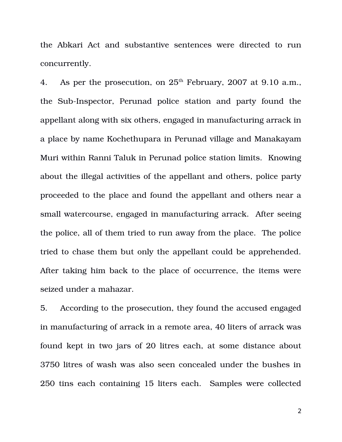the Abkari Act and substantive sentences were directed to run concurrently.

4. As per the prosecution, on  $25<sup>th</sup>$  February, 2007 at 9.10 a.m., the Sub-Inspector, Perunad police station and party found the appellant along with six others, engaged in manufacturing arrack in a place by name Kochethupara in Perunad village and Manakayam Muri within Ranni Taluk in Perunad police station limits. Knowing about the illegal activities of the appellant and others, police party proceeded to the place and found the appellant and others near a small watercourse, engaged in manufacturing arrack. After seeing the police, all of them tried to run away from the place. The police tried to chase them but only the appellant could be apprehended. After taking him back to the place of occurrence, the items were seized under a mahazar.

5. According to the prosecution, they found the accused engaged in manufacturing of arrack in a remote area, 40 liters of arrack was found kept in two jars of 20 litres each, at some distance about 3750 litres of wash was also seen concealed under the bushes in 250 tins each containing 15 liters each. Samples were collected

2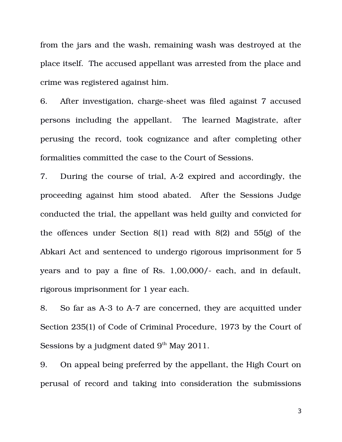from the jars and the wash, remaining wash was destroyed at the place itself. The accused appellant was arrested from the place and crime was registered against him.

6. After investigation, charge-sheet was filed against 7 accused persons including the appellant. The learned Magistrate, after perusing the record, took cognizance and after completing other formalities committed the case to the Court of Sessions.

7. During the course of trial, A-2 expired and accordingly, the proceeding against him stood abated. After the Sessions Judge conducted the trial, the appellant was held guilty and convicted for the offences under Section 8(1) read with 8(2) and 55(g) of the Abkari Act and sentenced to undergo rigorous imprisonment for 5 years and to pay a fine of Rs. 1,00,000/- each, and in default, rigorous imprisonment for 1 year each.

8. So far as A-3 to A-7 are concerned, they are acquitted under Section 235(1) of Code of Criminal Procedure, 1973 by the Court of Sessions by a judgment dated  $9<sup>th</sup>$  May 2011.

9. On appeal being preferred by the appellant, the High Court on perusal of record and taking into consideration the submissions

3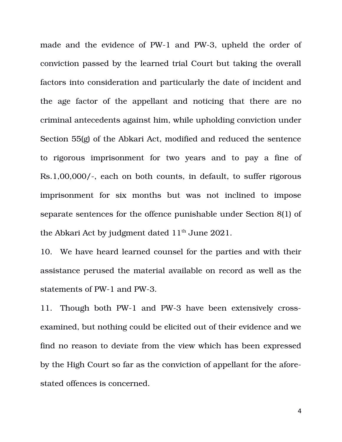made and the evidence of PW-1 and PW-3, upheld the order of conviction passed by the learned trial Court but taking the overall factors into consideration and particularly the date of incident and the age factor of the appellant and noticing that there are no criminal antecedents against him, while upholding conviction under Section 55(g) of the Abkari Act, modified and reduced the sentence to rigorous imprisonment for two years and to pay a fine of Rs.1,00,000/-, each on both counts, in default, to suffer rigorous imprisonment for six months but was not inclined to impose separate sentences for the offence punishable under Section 8(1) of the Abkari Act by judgment dated  $11<sup>th</sup>$  June 2021.

10. We have heard learned counsel for the parties and with their assistance perused the material available on record as well as the statements of PW-1 and PW-3.

11. Though both PW-1 and PW-3 have been extensively crossexamined, but nothing could be elicited out of their evidence and we find no reason to deviate from the view which has been expressed by the High Court so far as the conviction of appellant for the aforestated offences is concerned.

4